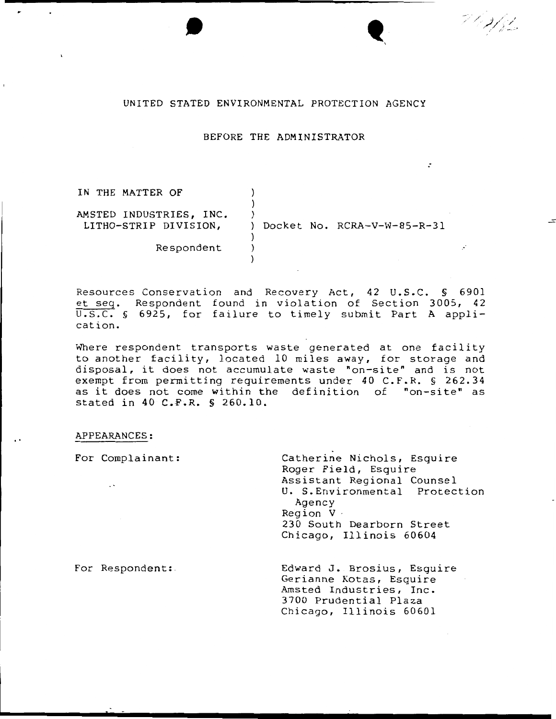#### UNITED STATED ENVIRONMENTAL PROTECTION AGENCY

### BEFORE THE ADMINISTRATOR

:

7 l e 2 f 3 l

 $\bullet$ 

| IN THE MATTER OF        |                                              |
|-------------------------|----------------------------------------------|
|                         |                                              |
| AMSTED INDUSTRIES, INC. | Docket No. RCRA-V-W-85-R-31<br>$\mathcal{L}$ |
| LITHO-STRIP DIVISION,   |                                              |
| Respondent              |                                              |
|                         |                                              |

Resources Conservation and Recovery Act, 42 U.S.C. § 6901 et seq. Respondent found in violation of Section 3005, 42 U.S.C. § 6925, for failure to timely submit Part A application.

Where respondent transports waste generated at one facility to another facility, located 10 miles away, for storage and disposal, it does not accumulate waste "on-site" and is not exempt from permitting requirements under 40 C.F.R. § 262.34 as it does not come within the definition of "on-site" as stated in 40 C.F.R. § 260.10.

#### APPEARANCES:

For Complainant: Catherine Nichols, Esquire Roger Field, Esquire Assistant Regional Counsel  $\ddot{\phantom{0}}$ U. S.Environmental Protection Agency Region V · 230 South Dearborn Street Chicago, Illinois 60604 For Respondent: Edward J. Brosius, Esquire Gerianne Kotas, Esquire Amsted Industries, Inc. 3700 Prudential Plaza

Chicago, Illinois 60601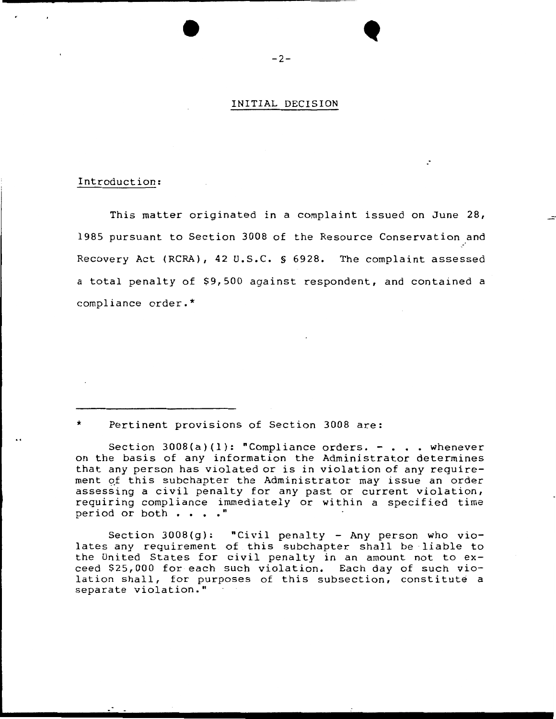### INITIAL DECISION

:

## Introduction:

This matter originated in a complaint issued on June 28, 1985 pursuant to Section 3008 of the Resource Conservation and Recovery Act (RCRA), 42 u.s.c. § 6928. The complaint assessed a total penalty of \$9,500 against respondent, and contained a compliance order.\*

Pertinent provisions of Section 3008 are:

Section  $3008(a)(1)$ : "Compliance orders. - . . . whenever on the basis of any information the Administrator determines that any person has violated *or* is in violation of any requirement of this subchapter the Administrator may issue an order assessing a civil penalty for any past *or* current violation, requiring compliance immediately *or* within a specified time period or both . . . . "

Section  $3008(g)$ : "Civil penalty - Any person who violates any requirement of this subchapter shall be liable to the United States for civil penalty in an amount not to exceed  $$25,000$  for each such violation. Each day of such violation shall, for purposes of this subsection, constitute a separate violation."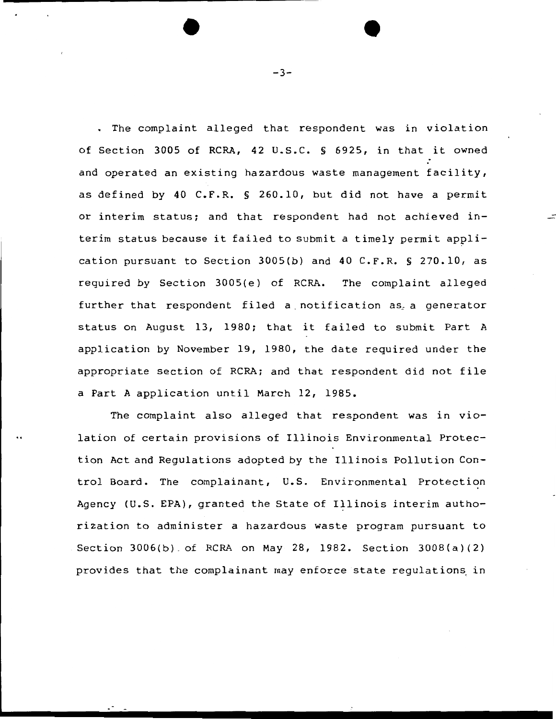The complaint alleged that respondent was in violation of Section 3005 of RCRA, 42 u.s.c. § 6925, in that it owned and operated an existing hazardous waste management facility, as defined by 40 C.F.R. § 260.10, but did not have a permit or interim status; and that respondent had not achieved interim status because it failed to submit a timely permit application pursuant to Section 3005(b) and 40 C.F.R. § 270.10, as required by Section 3005(e) of RCRA. The complaint alleged further that respondent filed a notification as a generator status on August 13, 1980; that it failed to submit Part A application by November 19, 1980, the date required under the appropriate section of RCRA; and that respondent did not file a Part A application until March 12, 1985.

The complaint also alleged that respondent was in violation of certain provisions of Illinois Environmental Protection Act and Regulations adopted by the Illinois Pollution Control Board. The complainant, u.s. Environmental Protection Agency (U.S. EPA), granted the State of Illinois interim authorization to administer a hazardous waste program pursuant to Section 3006(b) . of RCRA on May 28, 1982. Section 3008(a)(2) provides that the complainant may enforce state requlations in

 $-3-$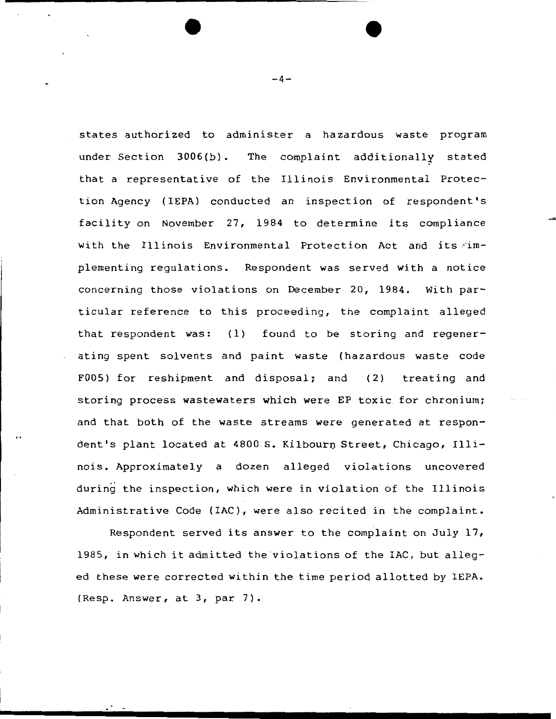states authorized to administer a hazardous waste program under Section 3006(b). The complaint additionally stated that a representative of the Illinois Environmental Protection Agency ( IEPA) conducted an inspection of respondent's facility on November 27, 1984 to determine its compliance with the Illinois Environmental Protection Act and its implementing regulations. Respondent was served with a notice concerning those violations on December 20, 1984. With particular reference to this proceeding, the complaint alleged that respondent was: (1) found to be storing and regenerating spent solvents and paint waste (hazardous waste code F005) for reshipment and disposal; and (2) treating and storing process wastewaters which were EP toxic for chronium; and that both of the waste streams were generated at respondent's plant located at 4800 S. Kilbourn Street, Chicago, Illinois. Approximately a dozen alleged violations uncovered during the inspection, which were in violation of the Illinois Administrative Code (IAC), were also recited in the complaint.

Respondent served its answer to the complaint on July 17, 1985, in which it admitted the violations of the IAC, but alleged these were corrected within the time period allotted by IEPA. (Resp. Answer, at 3, par 7).

 $-4-$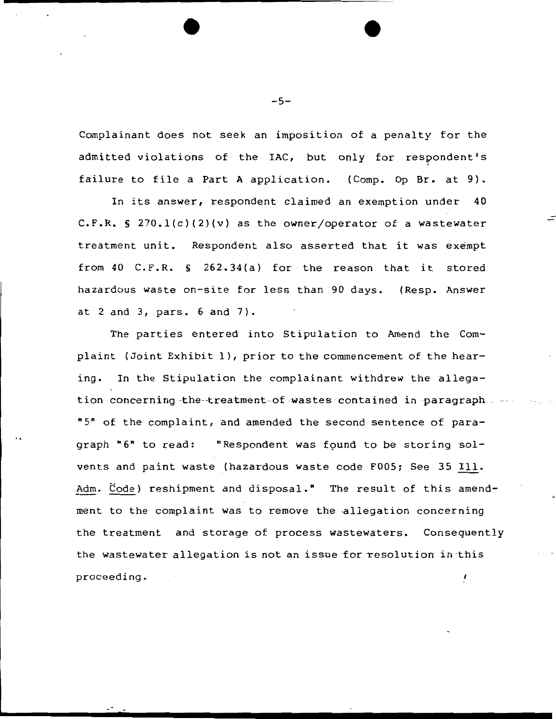Complainant does not seek an imposition of a penalty for the admitted violations of the IAC, but only for respondent's failure to file a Part A application. (Comp. Op Br. at 9).

In its answer, respondent claimed an exemption under 40 C.F.R. § 270.1(c)(2)(v) as the owner/operator of a wastewater treatment unit. Respondent also asserted that it was exempt from 40 C.F.R. § 262.34(a) for the reason that it stored hazardous waste on-site for less than 90 days. ( Resp. Answer at 2 and 3, pars. 6 and 7).

The parties entered into Stipulation to Amend the Complaint (Joint Exhibit 1), prior to the commencement of the hearing. In the Stipulation the complainant withdrew the allegation concerning the-treatment-of wastes contained in paragraph-"5" of the complaint, and amended the second sentence of paragraph "6" to read: "Respondent was found to be storing solvents and paint waste (hazardous waste code F005; See 35 Ill. Adm. Code) reshipment and disposal." The result of this amendment to the complaint was to remove the allegation concerning the treatment and storage of process wastewaters. Consequently the wastewater allegation is not an issue for resolution in this proceeding.

-5-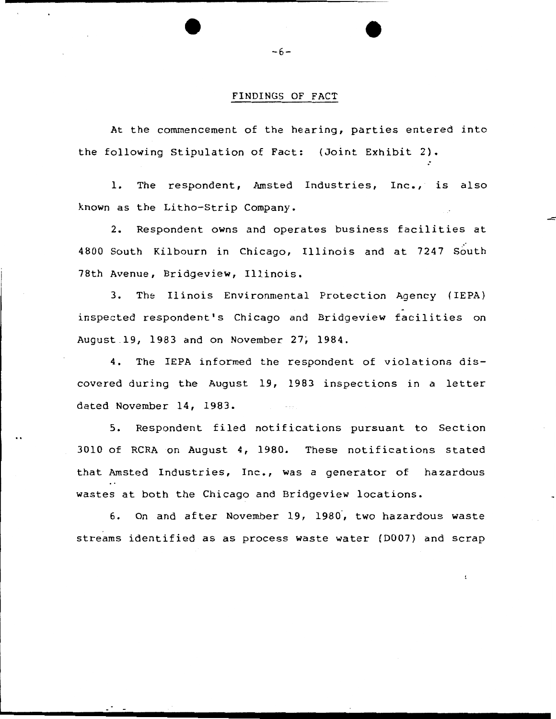# FINDINGS OF FACT

At the commencement of the hearing, parties entered into the following Stipulation of Fact: (Joint Exhibit 2).

1. The respondent, Amsted Industries, Inc., is also known as the Litho-Strip Company.

2. Respondent owns and operates business facilities at 4800 South Kilbourn in Chicago, Illinois and at 7247 South 78th Avenue, Bridgeview, Illinois.

3. The Il inois Environmental Protection Agency { IEPA) inspected respondent's Chicago and Bridgeview facilities on August 19, 1983 and on November 27, 1984.

4. The IEPA informed the respondent of violations discovered during the August 19, 1983 inspections in a letter dated November 14, 1983.

5. Respondent filed notifications pursuant to Section 3010 of RCRA on August 4, 1980. These notifications stated that Amsted Industries, Inc., was a generator of hazardous wastes at both the Chicago and Bridgeview locations.

6. On and after November 19, 1980, two hazardous waste streams identified as as process waste water (D007) and scrap

-6-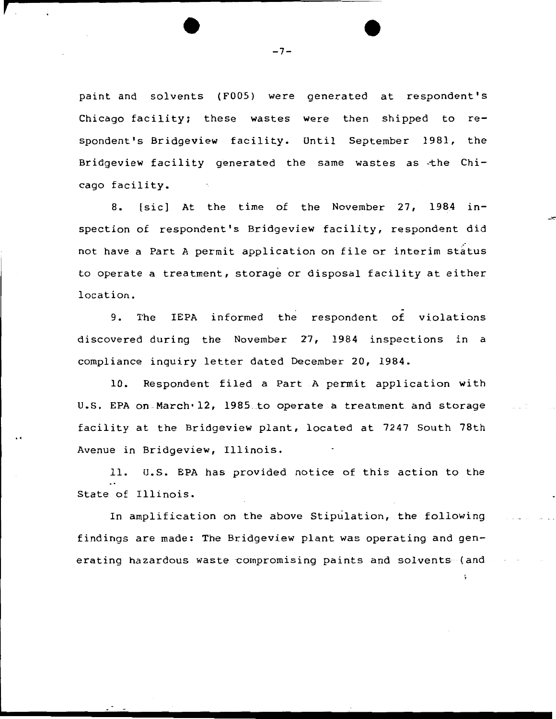paint and solvents (FOOS) were generated at respondent's Chicago facility; these wastes were then shipped to respondent's Bridgeview facility. Until September 1981, the Bridgeview facility generated the same wastes as -the Chicago facility.

8. [sic] At the time of the November 27, 1984 inspection of respondent's Bridgeview facility, respondent did not have a Part A permit application on file or interim status to operate a treatment, storage or disposal facility at either location.

9. The IEPA informed the respondent of violations discovered during the November 27, 1984 inspections in a compliance inquiry letter dated December 20, 1984.

10. Respondent filed a Part A permit application with U.S. EPA on March· 12, 1985 to operate a treatment and storage facility at the Bridgeview plant, located at 7247 South 78th Avenue in Bridgeview, Illinois.

11. u.s. EPA has provided notice of this action to the State of Illinois.

In amplification on the above Stipulation, the following findings are made: The Bridgeview plant was operating and generating hazardous waste compromising paints and solvents- (and

 $-7-$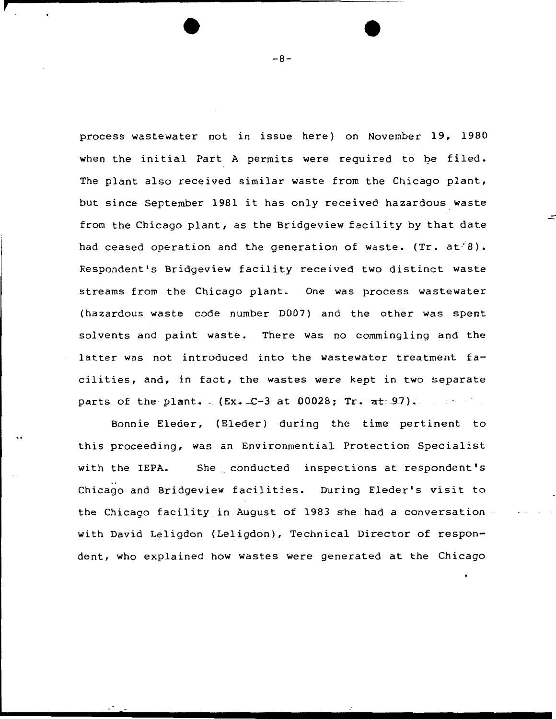process wastewater not in issue here} on November 19, 1980 when the initial Part A permits were required to be filed. The plant also received similar waste from the Chicago plant, but since September 1981 it has only received hazardous waste from the Chicago plant, as the Bridgeview facility by that date had ceased operation and the generation of waste.  $(Tr. at 8)$ . Respondent's Bridgeview facility received two distinct waste streams from the Chicago plant. One was process wastewater (hazardous waste code number D007} and the other was spent solvents and paint waste. There was no commingling and the latter was not introduced into the wastewater treatment facilities, and, in fact, the wastes were kept in two separate parts of the plant.  $(Kx - C-3 at 00028; Tr. at 97)$ .

Bonnie Eleder, (Eleder} during the time pertinent to this proceeding, was an Environmential Protection Specialist with the IEPA. She conducted inspections at respondent's Chicago and Bridgeview facilities. During Eleder's visit to the Chicago facility in August of 1983 she had a conversation with David Leligdon (Leligdon}, Technical Director of respondent, who explained how wastes were generated at the Chicago

-8-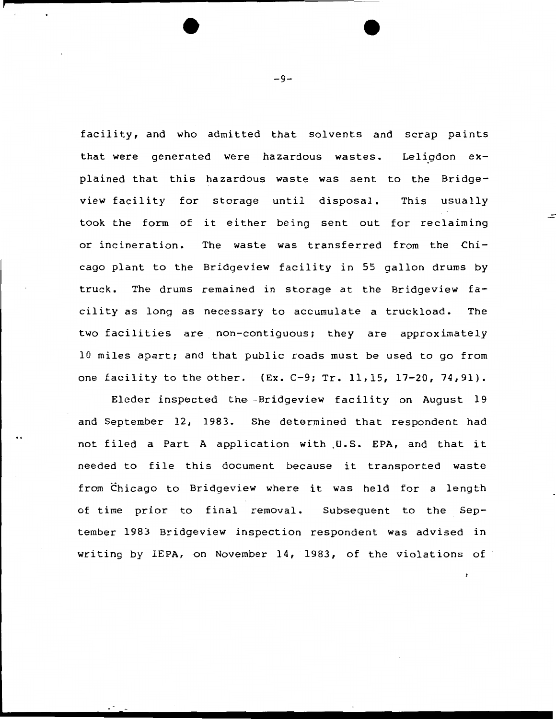facility, and who admitted that solvents and scrap paints that were generated were hazardous wastes. plained that this hazardous waste was sent to the Bridgeview facility for storage until disposal. took the form of it either being sent out for reclaiming or incineration. The waste was transferred from the Chi-Leligdon  $ex-$ This usually cago plant to the Bridgeview facility in 55 gallon drums by truck. The drums remained in storage at the Bridgeview facility as long as necessary to accumulate a truckload. The two facilities are non-contiguous; they are approximately 10 miles apart; and that public roads must be used to go from one facility to the other.  $(Ex. C-9; Tr. 11, 15, 17-20, 74, 91)$ .

Eleder inspected the -Bridgeview facility on August 19 and September 12, 1983. She determined that respondent had not filed a Part A application with U.S. EPA, and that it needed to file this document because it transported waste from Chicago to Bridgeview where it was held for a length of time prior to final removal. Subsequent to the September 1983 Bridgeview inspection respondent was advised in writing by IEPA, on November 14, 1983, of the violations of

-9-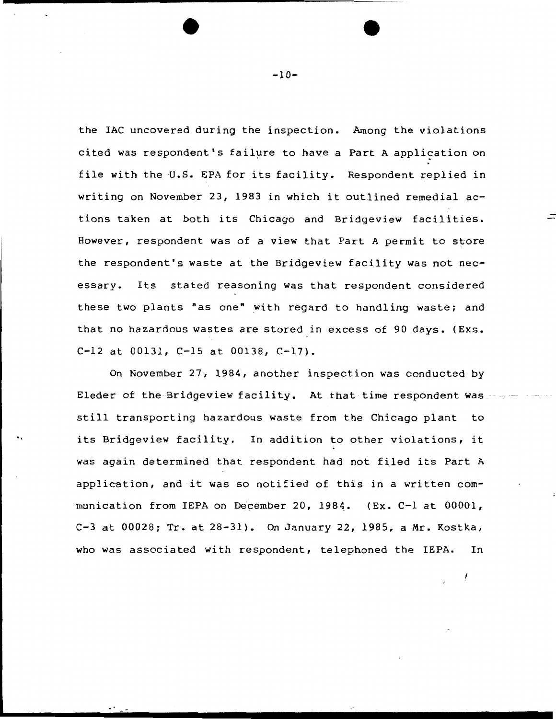the lAC uncovered during the inspection. Among the violations cited was respondent's failure to have a Part A application on file with the U.S. EPA for its facility. Respondent replied in writing on November 23, 1983 in which it outlined remedial actions taken at both its Chicago and Bridgeview facilities. However, respondent was of a view that Part A permit to store the respondent's waste at the Bridgeview facility was not necessary. Its stated reasoning was that respondent considered these two plants "as one" with regard to handling waste; and that no hazardous wastes are stored in excess of 90 days. (Exs. C-12 at 00131, C-15 at 00138, C-17).

On November 27, 1984, another inspection was conducted by Eleder of the Bridgeview facility. At that time respondent was still transporting hazardous waste from the Chicago plant to its Bridgeview facility. In addition to other violations, it was again determined that respondent had not filed its Part A application, and it was so notified of this in a written communication from IEPA on December 20, 1984. (Ex. C-1 at  $00001$ , C-3 at 00028; Tr. at 28-31). On January 22, 1985, a Mr. Kostka, who was associated with respondent, telephoned the IEPA. In

!

..

-10-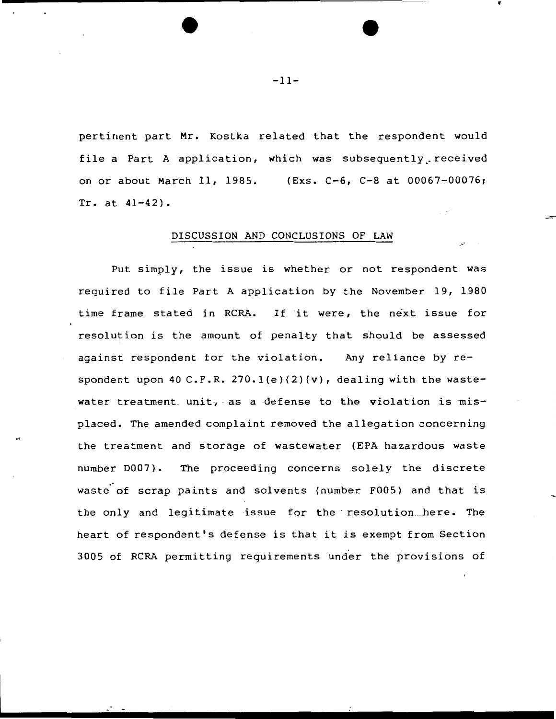pertinent part Mr. Kostka related that the respondent would file a Part A application, which was subsequently received on or about March 11, 1985. {Exs. C-6, C-8 at 00067-00076; Tr. at 41-42).

# DISCUSSION AND CONCLUSIONS OF LAW

Put simply, the issue is whether or not respondent was required to file Part A application by the November 19, 1980 time frame stated in RCRA. If it were, the next issue for resolution is the amount of penalty that should be assessed against respondent for the violation. Any reliance by respondent upon 40 C.F.R. 270.1(e)(2)(v), dealing with the wastewater treatment unit, as a defense to the violation is  $mis$ placed. The amended complaint removed the allegation concerning the treatment and storage of wastewater (EPA hazardous waste number D007) • The proceeding concerns solely the discrete waste of scrap paints and solvents (number F005) and that is the only and legitimate issue for the · resolution here. The heart of respondent's defense is that it is exempt from Section 3005 of RCRA permitting requirements under the provisions of

-11-

..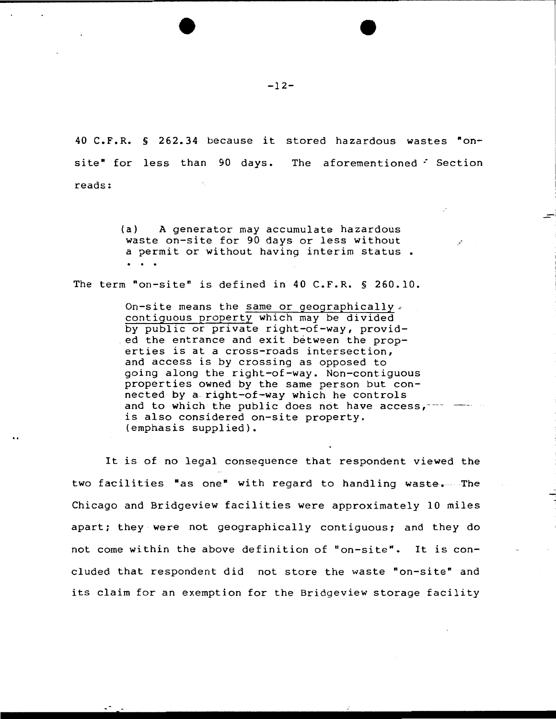40 C.F.R. § 262.34 because it stored hazardous wastes "onsite" for less than 90 days. The aforementioned *:* Section reads:

> (a) A generator may accumulate hazardous waste on-site for 90 days or less without a permit or without having interim status.  $\ddotsc$

The term "on-site" is defined in 40 C.F.R. § 260.10.

On-site means the same or geographically  $\epsilon$ contiguous property which may be divided by public or private right-of-way, provid ed the entrance and exit between the properties is at a cross-roads intersection, and access is by crossing as opposed to going along the right-of-way. Non-contiguous properties owned by the same person but connected by a right-of-way which he controls and to which the public does not have  $access,--$ is also considered on-site property. (emphasis supplied).

It is of no legal consequence that respondent viewed the two facilities "as one" with regard to handling waste. The Chicago and Bridgeview facilities were approximately 10 miles apart; they were not geographically contiguous; and they do not come within the above definition of "on-site". It is coneluded that respondent did not store the waste "on-site" and its claim for an exemption for the Bridgeview storage facility

-12-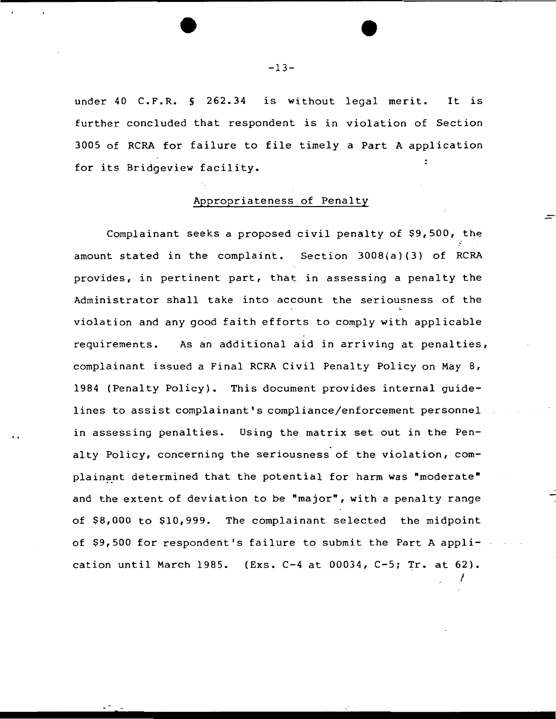under 40 C.F.R. § 262.34 is without legal merit. It is further concluded that respondent is in violation of Section 3005 of RCRA for failure to file timely a Part A application for its Bridgeview facility.

# Appropriateness of Penalty

Complainant seeks a proposed civil penalty of \$9,500, the amount stated in the complaint. Section 3008(a)(3) of RCRA provides, in pertinent part, that in assessing a penalty the Administrator shall take into account the seriousness of the violation and any good faith efforts to comply with applicable requirements. As an additional aid in arriving at penalties, complainant issued a Final RCRA Civil Penalty Policy on May 8, 1984 (Penalty Policy). This document provides internal guidelines to assist complainant's compliance/enforcement personnel in assessing penalties. Using the matrix set out in the Pen alty Policy, concerning the seriousness of the violation, complainant determined that the potential for harm was "moderate" and the extent of deviation to be "major", with a penalty range of \$8,000 to \$10,999. The complainant selected the midpoint of \$9,500 for respondent's failure to submit the Part A application until March 1985. (Exs. C-4 at 00034, C-5; Tr. at 62).

t

-13-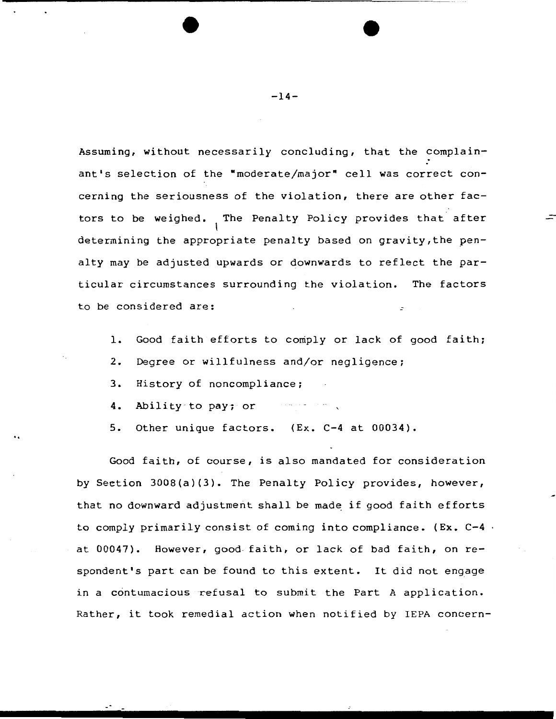Assuming, without necessarily concluding, that the complainant's selection of the "moderate/major" cell was correct concerning the seriousness of the violation, there are other factors to be weighed. The Penalty Policy provides that after  $\mathbf{I}$ determining the appropriate penalty based on gravity,the penalty may be adjusted upwards or downwards to reflect the particular circumstances surrounding the violation. The factors to be considered are:

- 1. Good faith efforts to comply or lack of good faith;
- 2. Degree or willfulness and/or negligence;
- 3. History of noncompliance;

..

- 4. Ability -to pay; or  $\mathcal{L}_{\mathcal{A}}$  , we see that  $\mathcal{L}_{\mathcal{A}}$
- 5. Other unique factors. (Ex. C-4 at 00034).

Good faith, of course, is also mandated for consideration by Section 3008(a)(3). The Penalty Policy provides, however, that no downward adjustment shall be made if good faith efforts to comply primarily consist of coming into compliance. (Ex.  $C-4$ . at 00047). However, good faith, or lack of bad faith, on respondent's part can be found to this extent. It did not engage in a contumacious refusal to submit the Part A application. Rather, it took remedial action when notified by IEPA concern-

 $-14-$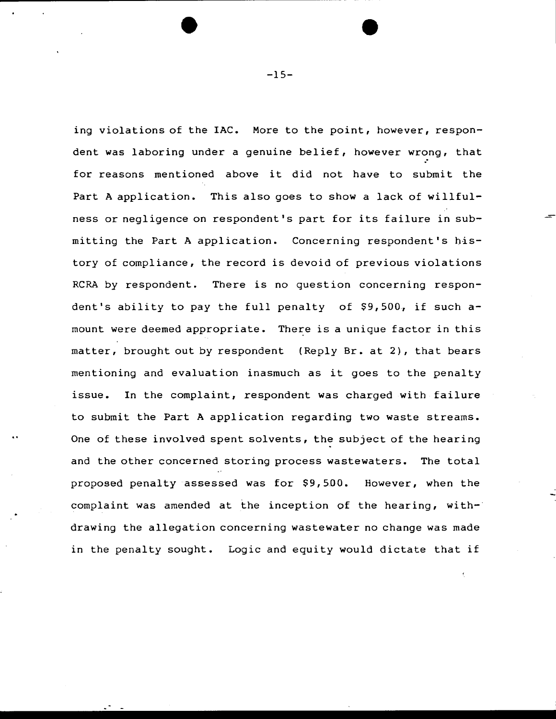ing violations of the IAC. More to the point, however, respondent was laboring under a genuine belief, however wrong, that for reasons mentioned above it did not have to submit the Part A application. This also goes to show a lack of willfulness or negligence on respondent's part for its failure in submitting the Part A application. Concerning respondent's history of compliance, the record is devoid of previous violations RCRA by respondent. There is no question concerning respondent's ability to pay the full penalty of  $$9,500$ , if such amount were deemed appropriate. There is a unique factor in this matter, brought out by respondent (Reply Br. at 2), that bears mentioning and evaluation inasmuch as it goes to the penalty issue. In the complaint, respondent was charged with failure to submit the Part A application regarding two waste streams. One of these involved spent solvents, the subject of the hearing and the other concerned storing process wastewaters. The total proposed penalty assessed was for \$9, 500. However, when the complaint was amended at the inception of the hearing, withdrawing the allegation concerning wastewater no change was made in the penalty sought. Logic and equity would dictate that if

-15-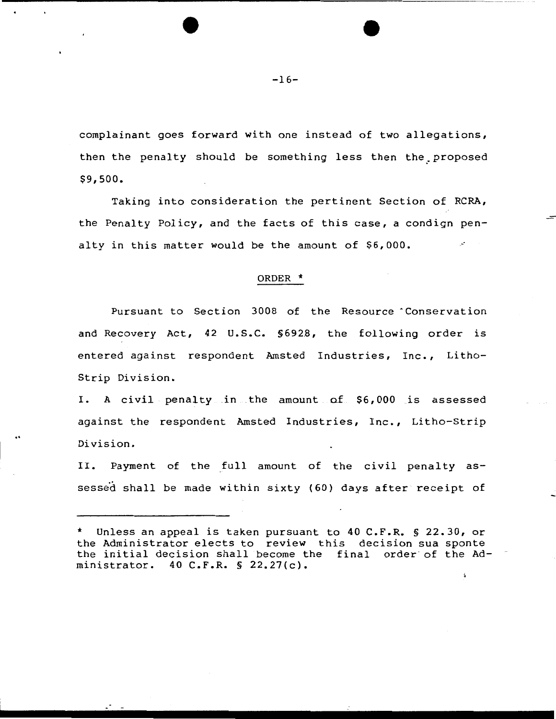complainant goes forward with one instead of two allegations, then the penalty should be something less then the proposed \$9,500.

Taking into consideration the pertinent Section of RCRA, the Penalty Policy, and the facts of this case, a condign penalty in this matter would be the amount of \$6,000.

#### ORDER \*

Pursuant to Section 3008 of the Resource Conservation and Recovery Act, 42 U.S.C. §6928, the following order is entered against respondent Amsted Industries, Inc., Litho-Strip Division.

I. A civil penalty in the amount of \$6,000 is assessed against the respondent Amsted Industries, Inc., Litho-Strip Division.

..

II. Payment of the full amount of the civil penalty assessed shall be made within sixty (60) days after receipt of

 $\cdot$  .

Unless an appeal is taken pursuant to 40 C.F.R. § 22.30, or the Administrator elects to review this decision sua sponte the initial decision shall become the final order of the Administrator. 40 C.F.R. § 22.27(c).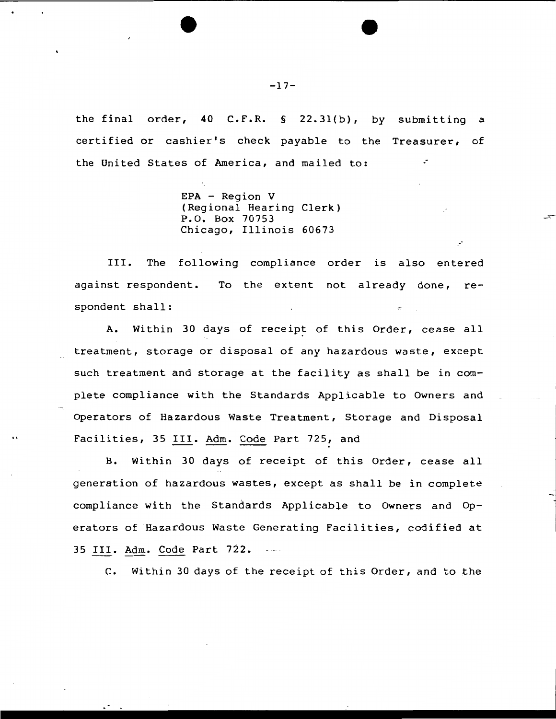the final order, 40 C.F.R. § 22.3l(b), by submitting a certified or cashier's check payable to the Treasurer, of the United States of America, and mailed to: .·

> EPA - Region V (Regional Hearing Clerk) P.O. Box 70753 Chicago, Illinois 60673

III. The following compliance order is also entered against respondent. To the extent not already done, respondent shall:

A. Within 30 days of receipt of this Order, cease all treatment, storage or disposal of any hazardous waste, except such treatment and storage at the facility as shall be in complete compliance with the Standards Applicable to Owners and Operators of Hazardous Waste Treatment, Storage and Disposal Facilities, 35 III. Adm. Code Part 725, and

B. Within 30 days of receipt of this Order, cease all generation of hazardous wastes; except as shall be in complete compliance with the Standards Applicable to Owners and Operators of Hazardous Waste Generating Facilities, codified at 35 III. Adm. Code Part 722.

c. Within 30 days of the receipt of this Order, and to the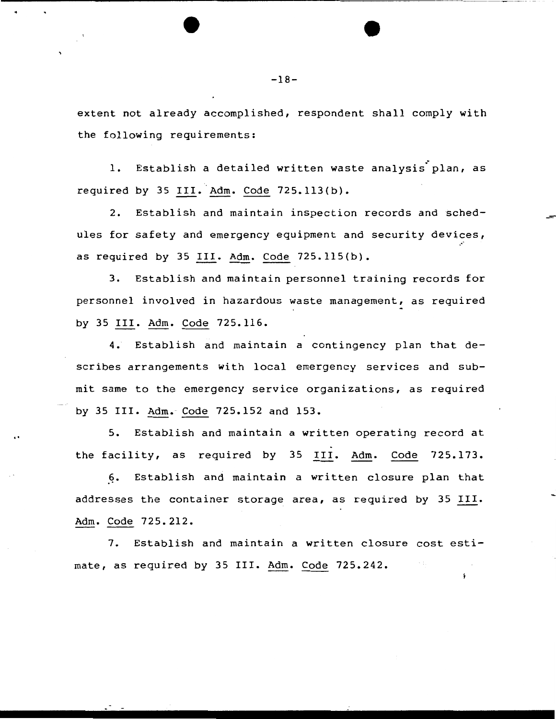extent not already accomplished, respondent shall comply with the following requirements:

1. Establish a detailed written waste analysis plan, as required by 35 III. Adm. Code  $725.113(b)$ .

2. Establish and maintain inspection records and Schedules for safety and emergency equipment and security devices, as required by 35 III. Adm. Code 725.115(b).

3. Establish and maintain personnel training records for personnel involved in hazardous waste management, as required by 35 III. Adm. Code 725.116.

4. Establish and maintain a contingency plan that describes arrangements with local emergency services and submit same to the emergency service organizations, as required by 35 III. Adm. Code 725.152 and 153.

5. Establish and maintain a written operating record at the facility, as required by 35 III. Adm. Code 725.173.

..

6. Establish and maintain a written closure plan that addresses the container storage area, as required by 35 III. Adm. Code 725.212.

7. Establish and maintain a written closure cost estimate, as required by 35 III. Adm. Code 725.242.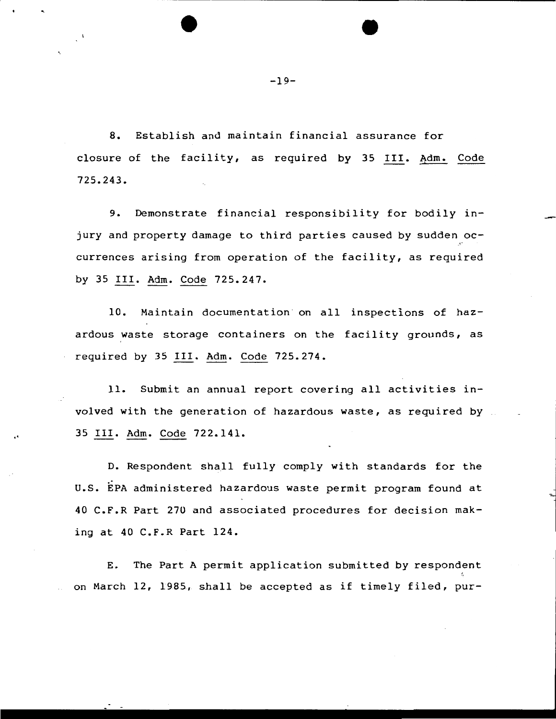8. Establish and maintain financial assurance for closure of the facility, as required by 35 III. Adm. Code 725.243.

9. Demonstrate financial responsibility for bodily injury and property damage to third parties caused by sudden occurrences arising from operation of the facility, as required by 35 III. Adm. Code 725.247.

10. Maintain documentation on all inspections of hazardous waste storage containers on the facility grounds, as required by 35 III. Adm. Code 725.274.

11. Submit an annual report covering all activities involved with the generation of hazardous waste, as required by 35 III. Adm. Code 722.141 •

..

D. Respondent shall fully comply with standards for the u.s. EPA administered hazardous waste permit program found at 40 C.F.R Part 270 and associated procedures for decision making at 40 C.F.R Part 124.

E. The Part A permit application submitted by respondent on March 12, 1985, shall be accepted as if timely filed, pur-

-19-